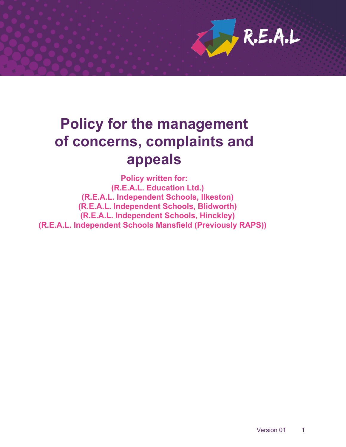

# **Policy for the management of concerns, complaints and appeals**

**Policy written for: (R.E.A.L. Education Ltd.) (R.E.A.L. Independent Schools, Ilkeston) (R.E.A.L. Independent Schools, Blidworth) (R.E.A.L. Independent Schools, Hinckley) (R.E.A.L. Independent Schools Mansfield (Previously RAPS))**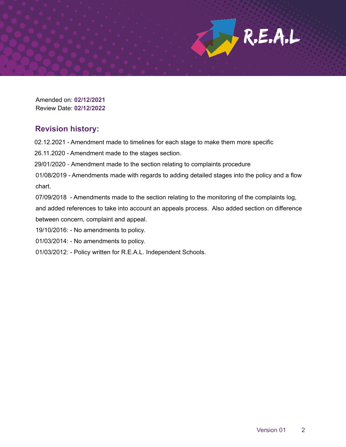Amended on: **02/12/2021** Review Date: **02/12/2022**

## **Revision history:**

02.12.2021 - Amendment made to timelines for each stage to make them more specific

26.11.2020 - Amendment made to the stages section.

29/01/2020 - Amendment made to the section relating to complaints procedure

01/08/2019 - Amendments made with regards to adding detailed stages into the policy and a flow chart.

07/09/2018 - Amendments made to the section relating to the monitoring of the complaints log,

and added references to take into account an appeals process. Also added section on difference between concern, complaint and appeal.

19/10/2016: - No amendments to policy.

- 01/03/2014: No amendments to policy.
- 01/03/2012: Policy written for R.E.A.L. Independent Schools.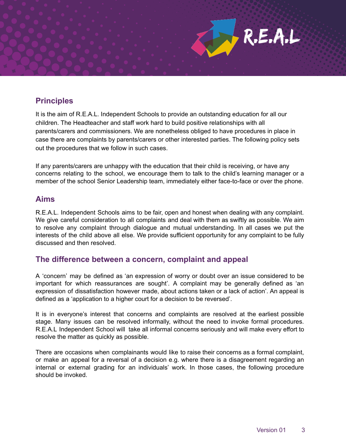

It is the aim of R.E.A.L. Independent Schools to provide an outstanding education for all our children. The Headteacher and staff work hard to build positive relationships with all parents/carers and commissioners. We are nonetheless obliged to have procedures in place in case there are complaints by parents/carers or other interested parties. The following policy sets out the procedures that we follow in such cases.

If any parents/carers are unhappy with the education that their child is receiving, or have any concerns relating to the school, we encourage them to talk to the child's learning manager or a member of the school Senior Leadership team, immediately either face-to-face or over the phone.

#### **Aims**

R.E.A.L. Independent Schools aims to be fair, open and honest when dealing with any complaint. We give careful consideration to all complaints and deal with them as swiftly as possible. We aim to resolve any complaint through dialogue and mutual understanding. In all cases we put the interests of the child above all else. We provide sufficient opportunity for any complaint to be fully discussed and then resolved.

## **The difference between a concern, complaint and appeal**

A 'concern' may be defined as 'an expression of worry or doubt over an issue considered to be important for which reassurances are sought'. A complaint may be generally defined as 'an expression of dissatisfaction however made, about actions taken or a lack of action'. An appeal is defined as a 'application to a higher court for a decision to be reversed'.

It is in everyone's interest that concerns and complaints are resolved at the earliest possible stage. Many issues can be resolved informally, without the need to invoke formal procedures. R.E.A.L Independent School will take all informal concerns seriously and will make every effort to resolve the matter as quickly as possible.

There are occasions when complainants would like to raise their concerns as a formal complaint, or make an appeal for a reversal of a decision e.g. where there is a disagreement regarding an internal or external grading for an individuals' work. In those cases, the following procedure should be invoked.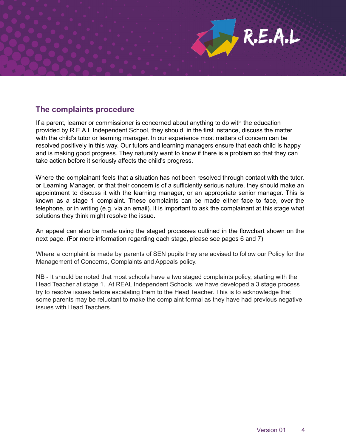

If a parent, learner or commissioner is concerned about anything to do with the education provided by R.E.A.L Independent School, they should, in the first instance, discuss the matter with the child's tutor or learning manager. In our experience most matters of concern can be resolved positively in this way. Our tutors and learning managers ensure that each child is happy and is making good progress. They naturally want to know if there is a problem so that they can take action before it seriously affects the child's progress.

Where the complainant feels that a situation has not been resolved through contact with the tutor, or Learning Manager, or that their concern is of a sufficiently serious nature, they should make an appointment to discuss it with the learning manager, or an appropriate senior manager. This is known as a stage 1 complaint. These complaints can be made either face to face, over the telephone, or in writing (e.g. via an email). It is important to ask the complainant at this stage what solutions they think might resolve the issue.

An appeal can also be made using the staged processes outlined in the flowchart shown on the next page. (For more information regarding each stage, please see pages 6 and 7)

Where a complaint is made by parents of SEN pupils they are advised to follow our Policy for the Management of Concerns, Complaints and Appeals policy.

NB - It should be noted that most schools have a two staged complaints policy, starting with the Head Teacher at stage 1. At REAL Independent Schools, we have developed a 3 stage process try to resolve issues before escalating them to the Head Teacher. This is to acknowledge that some parents may be reluctant to make the complaint formal as they have had previous negative issues with Head Teachers.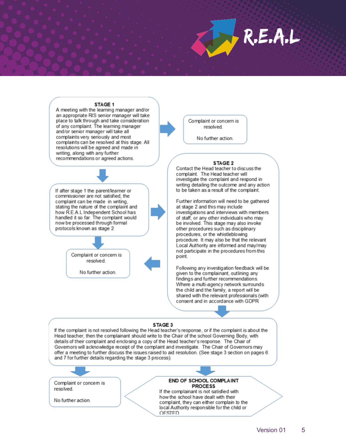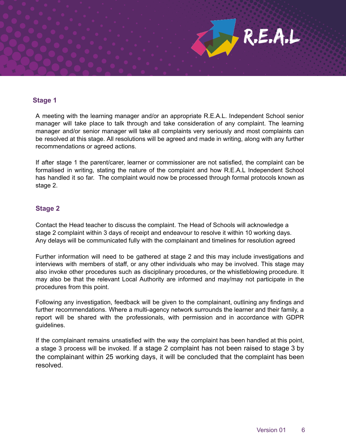

A meeting with the learning manager and/or an appropriate R.E.A.L. Independent School senior manager will take place to talk through and take consideration of any complaint. The learning manager and/or senior manager will take all complaints very seriously and most complaints can be resolved at this stage. All resolutions will be agreed and made in writing, along with any further recommendations or agreed actions.

If after stage 1 the parent/carer, learner or commissioner are not satisfied, the complaint can be formalised in writing, stating the nature of the complaint and how R.E.A.L Independent School has handled it so far. The complaint would now be processed through formal protocols known as stage 2.

#### **Stage 2**

Contact the Head teacher to discuss the complaint. The Head of Schools will acknowledge a stage 2 complaint within 3 days of receipt and endeavour to resolve it within 10 working days. Any delays will be communicated fully with the complainant and timelines for resolution agreed

Further information will need to be gathered at stage 2 and this may include investigations and interviews with members of staff, or any other individuals who may be involved. This stage may also invoke other procedures such as disciplinary procedures, or the whistleblowing procedure. It may also be that the relevant Local Authority are informed and may/may not participate in the procedures from this point.

Following any investigation, feedback will be given to the complainant, outlining any findings and further recommendations. Where a multi-agency network surrounds the learner and their family, a report will be shared with the professionals, with permission and in accordance with GDPR guidelines.

If the complainant remains unsatisfied with the way the complaint has been handled at this point, a stage 3 process will be invoked. If a stage 2 complaint has not been raised to stage 3 by the complainant within 25 working days, it will be concluded that the complaint has been resolved.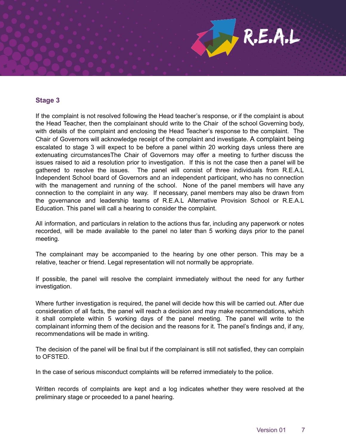#### **Stage 3**

If the complaint is not resolved following the Head teacher's response, or if the complaint is about the Head Teacher, then the complainant should write to the Chair of the school Governing body, with details of the complaint and enclosing the Head Teacher's response to the complaint. The Chair of Governors will acknowledge receipt of the complaint and investigate. A complaint being escalated to stage 3 will expect to be before a panel within 20 working days unless there are extenuating circumstancesThe Chair of Governors may offer a meeting to further discuss the issues raised to aid a resolution prior to investigation. If this is not the case then a panel will be gathered to resolve the issues. The panel will consist of three individuals from R.E.A.L Independent School board of Governors and an independent participant, who has no connection with the management and running of the school. None of the panel members will have any connection to the complaint in any way. If necessary, panel members may also be drawn from the governance and leadership teams of R.E.A.L Alternative Provision School or R.E.A.L Education. This panel will call a hearing to consider the complaint.

All information, and particulars in relation to the actions thus far, including any paperwork or notes recorded, will be made available to the panel no later than 5 working days prior to the panel meeting.

The complainant may be accompanied to the hearing by one other person. This may be a relative, teacher or friend. Legal representation will not normally be appropriate.

If possible, the panel will resolve the complaint immediately without the need for any further investigation.

Where further investigation is required, the panel will decide how this will be carried out. After due consideration of all facts, the panel will reach a decision and may make recommendations, which it shall complete within 5 working days of the panel meeting. The panel will write to the complainant informing them of the decision and the reasons for it. The panel's findings and, if any, recommendations will be made in writing.

The decision of the panel will be final but if the complainant is still not satisfied, they can complain to OFSTED.

In the case of serious misconduct complaints will be referred immediately to the police.

Written records of complaints are kept and a log indicates whether they were resolved at the preliminary stage or proceeded to a panel hearing.